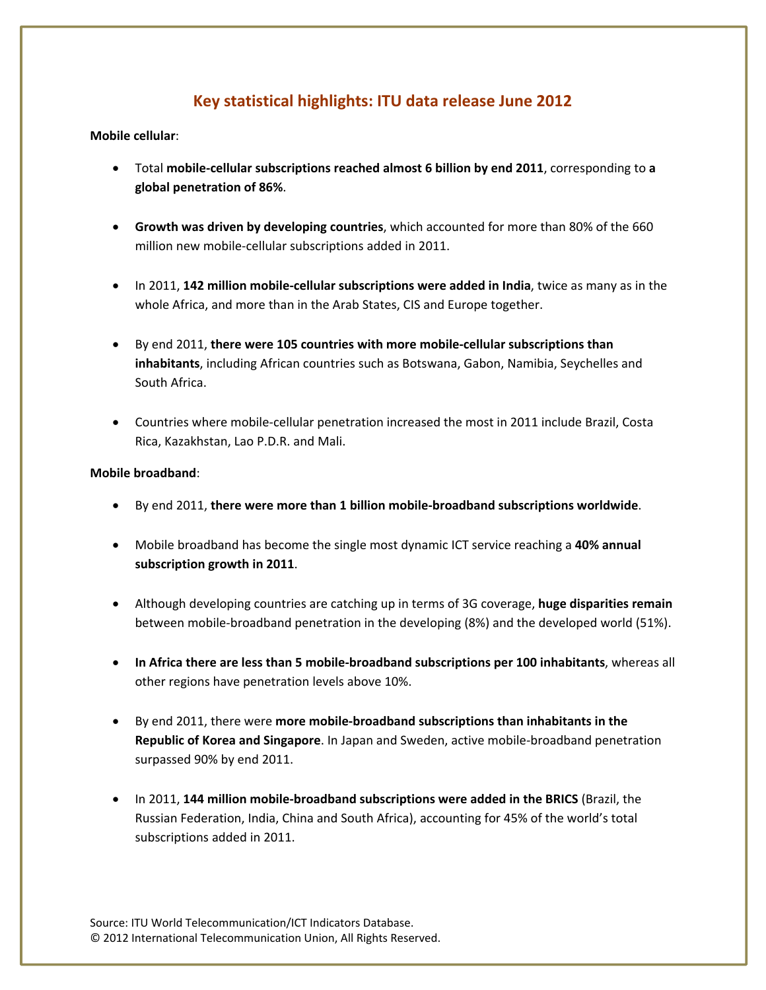# **Key statistical highlights: ITU data release June 2012**

## **Mobile cellular**:

- Total **mobile‐cellular subscriptions reached almost 6 billion by end 2011**, corresponding to **a global penetration of 86%**.
- **Growth was driven by developing countries**, which accounted for more than 80% of the 660 million new mobile‐cellular subscriptions added in 2011.
- In 2011, **142 million mobile‐cellular subscriptions were added in India**, twice as many as in the whole Africa, and more than in the Arab States, CIS and Europe together.
- By end 2011, **there were 105 countries with more mobile‐cellular subscriptions than inhabitants**, including African countries such as Botswana, Gabon, Namibia, Seychelles and South Africa.
- Countries where mobile-cellular penetration increased the most in 2011 include Brazil, Costa Rica, Kazakhstan, Lao P.D.R. and Mali.

#### **Mobile broadband**:

- By end 2011, **there were more than 1 billion mobile‐broadband subscriptions worldwide**.
- Mobile broadband has become the single most dynamic ICT service reaching a **40% annual subscription growth in 2011**.
- Although developing countries are catching up in terms of 3G coverage, **huge disparities remain** between mobile-broadband penetration in the developing (8%) and the developed world (51%).
- **In Africa there are less than 5 mobile‐broadband subscriptions per 100 inhabitants**, whereas all other regions have penetration levels above 10%.
- By end 2011, there were **more mobile‐broadband subscriptions than inhabitants in the Republic of Korea and Singapore**. In Japan and Sweden, active mobile‐broadband penetration surpassed 90% by end 2011.
- In 2011, **144 million mobile‐broadband subscriptions were added in the BRICS** (Brazil, the Russian Federation, India, China and South Africa), accounting for 45% of the world's total subscriptions added in 2011.